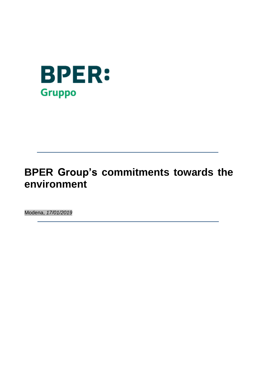

# **BPER Group's commitments towards the environment**

Modena, *17/01/2019*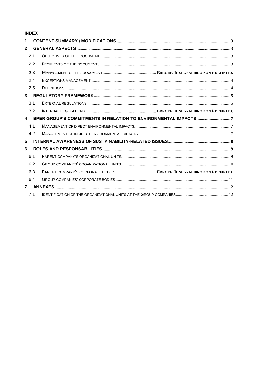# **INDEX**

| 1            |  |
|--------------|--|
| $\mathbf{2}$ |  |
| 2.1          |  |
| 2.2          |  |
| 2.3          |  |
| 2.4          |  |
| 2.5          |  |
| $\mathbf{3}$ |  |
| 3.1          |  |
| 3.2          |  |
| $\mathbf{A}$ |  |
| 4.1          |  |
| 4.2          |  |
| 5            |  |
| 6            |  |
| 6.1          |  |
| 6.2          |  |
| 6.3          |  |
| 6.4          |  |
| $\mathbf{7}$ |  |
| 7.1          |  |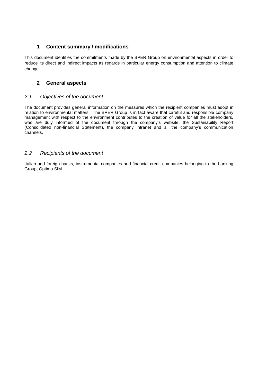## <span id="page-2-0"></span>**1 Content summary / modifications**

This document identifies the commitments made by the BPER Group on environmental aspects in order to reduce its direct and indirect impacts as regards in particular energy consumption and attention to climate change.

## <span id="page-2-1"></span>**2 General aspects**

## <span id="page-2-2"></span>*2.1 Objectives of the document*

The document provides general information on the measures which the recipient companies must adopt in relation to environmental matters. The BPER Group is in fact aware that careful and responsible company management with respect to the environment contributes to the creation of value for all the stakeholders, who are duly informed of the document through the company's website, the Sustainability Report (Consolidated non-financial Statement), the company intranet and all the company's communication channels.

## <span id="page-2-3"></span>*2.2 Recipients of the document*

Italian and foreign banks, instrumental companies and financial credit companies belonging to the banking Group, Optima SIM.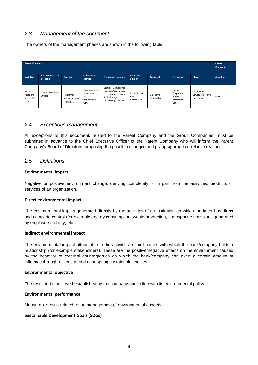## *2.3 Management of the document*

The owners of the management phases are shown in the following table:

| <b>Parent Company</b>                                |                            |                                                |                                                              |                                                                                                      |                                     |                        |                                                                      | Group<br><b>Companies</b>                                    |            |
|------------------------------------------------------|----------------------------|------------------------------------------------|--------------------------------------------------------------|------------------------------------------------------------------------------------------------------|-------------------------------------|------------------------|----------------------------------------------------------------------|--------------------------------------------------------------|------------|
| Iniziativa                                           | Autorization to<br>proceed | <b>Drafting</b>                                | <b>Coherence</b><br>opinion                                  | <b>Compliance opinion</b>                                                                            | Advisory<br>opinion                 | Approval               | <b>Circulation</b>                                                   | <b>Storage</b>                                               | Adoption   |
| External<br>Relations<br><b>CSR</b><br>and<br>Office | Chief Executive<br>Officer | External<br>Relations and<br><b>CSR Office</b> | Organizational<br>Structures<br>and<br>Regulations<br>Office | Group Compliance<br>Function/Specialized<br>Oversights - Group<br>Anti-Monev-<br>Laundering Function | and<br>Control<br>Risk<br>Committee | Executive<br>Committee | Group<br>Corporate<br><b>Bodies</b><br>$Co-$<br>ordination<br>Office | Organizational<br>Structures<br>and<br>Regulations<br>Office | <b>BoD</b> |

## <span id="page-3-0"></span>*2.4 Exceptions management*

All exceptions to this document, related to the Parent Company and the Group Companies, must be submitted in advance to the Chief Executive Officer of the Parent Company who will inform the Parent Company's Board of Directors, proposing the possible changes and giving appropriate relative reasons.

## <span id="page-3-1"></span>*2.5 Definitions*

#### **Environmental impact**

Negative or positive environment change, deriving completely or in part from the activities, products or services of an organization.

#### **Direct environmental impact**

The environmental impact generated directly by the activities of an institution on which the latter has direct and complete control (for example energy consumption, waste production, atmospheric emissions generated by employee mobility, etc.).

#### **Indirect environmental impact**

The environmental impact attributable to the activities of third parties with which the bank/company holds a relationship (for example stakeholders). These are the positive/negative effects on the environment caused by the behavior of external counterparties on which the bank/company can exert a certain amount of influence through actions aimed at adopting sustainable choices.

#### **Environmental objective**

The result to be achieved established by the company and in line with its environmental policy.

#### **Environmental performance**

Measurable result related to the management of environmental aspects.

#### **Sustainable Development Goals (SDGs)**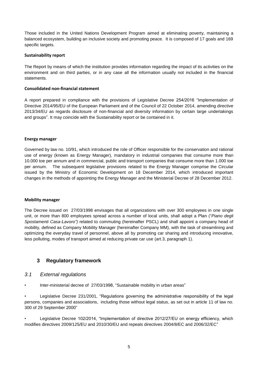Those included in the United Nations Development Program aimed at eliminating poverty, maintaining a balanced ecosystem, building an inclusive society and promoting peace. It is composed of 17 goals and 169 specific targets.

#### **Sustainability report**

The Report by means of which the institution provides information regarding the impact of its activities on the environment and on third parties, or in any case all the information usually not included in the financial statements.

#### **Consolidated non-financial statement**

A report prepared in compliance with the provisions of Legislative Decree 254/2016 "Implementation of Directive 2014/95/EU of the European Parliament and of the Council of 22 October 2014, amending directive 2013/34/EU as regards disclosure of non-financial and diversity information by certain large undertakings and groups". It may coincide with the Sustainability report or be contained in it.

#### **Energy manager**

Governed by law no. 10/91, which introduced the role of Officer responsible for the conservation and rational use of energy (known as Energy Manager), mandatory in industrial companies that consume more than 10.000 toe per annum and in commercial, public and transport companies that consume more than 1.000 toe per annum. The subsequent legislative provisions related to the Energy Manager comprise the Circular issued by the Ministry of Economic Development on 18 December 2014, which introduced important changes in the methods of appointing the Energy Manager and the Ministerial Decree of 28 December 2012.

#### **Mobility manager**

The Decree issued on 27/03/1998 envisages that all organizations with over 300 employees in one single unit, or more than 800 employees spread across a number of local units, shall adopt a Plan ("*Piano degli Spostamenti Casa-Lavoro")* related to commuting (hereinafter PSCL) and shall appoint a company head of mobility, defined as Company Mobility Manager (hereinafter Company MM), with the task of streamlining and optimizing the everyday travel of personnel, above all by promoting car sharing and introducing innovative, less polluting, modes of transport aimed at reducing private car use (art.3, paragraph 1).

## <span id="page-4-0"></span>**3 Regulatory framework**

## <span id="page-4-1"></span>*3.1 External regulations*

• Inter-ministerial decree of 27/03/1998, "Sustainable mobility in urban areas"

• Legislative Decree 231/2001, "Regulations governing the administrative responsibility of the legal persons, companies and associations, including those without legal status, as set out in article 11 of law no. 300 of 29 September 2000"

Legislative Decree 102/2014, "Implementation of directive 2012/27/EU on energy efficiency, which modifies directives 2009/125/EU and 2010/30/EU and repeals directives 2004/8/EC and 2006/32/EC"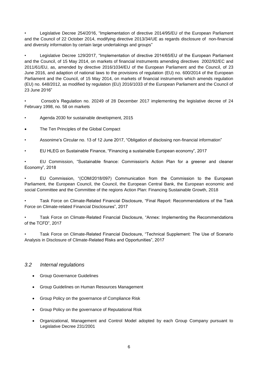• Legislative Decree 254/2016, "Implementation of directive 2014/95/EU of the European Parliament and the Council of 22 October 2014, modifying directive 2013/34/UE as regards disclosure of non-financial and diversity information by certain large undertakings and groups"

• Legislative Decree 129/2017, "Implementation of directive 2014/65/EU of the European Parliament and the Council, of 15 May 2014, on markets of financial instruments amending directives 2002/92/EC and 2011/61/EU, as, amended by directive 2016/1034/EU of the European Parliament and the Council, of 23 June 2016, and adaption of national laws to the provisions of regulation (EU) no. 600/2014 of the European Parliament and the Council, of 15 May 2014, on markets of financial instruments which amends regulation (EU) no. 648/2012, as modified by regulation (EU) 2016/1033 of the European Parliament and the Council of 23 June 2016"

• Consob's Regulation no. 20249 of 28 December 2017 implementing the legislative decree of 24 February 1998, no. 58 on markets

- Agenda 2030 for sustainable development, 2015
- The Ten Principles of the Global Compact
- Assonime's Circular no. 13 of 12 June 2017, "Obligation of disclosing non-financial information"
- EU HLEG on Sustainable Finance, "Financing a sustainable European economy", 2017

• EU Commission, "Sustainable finance: Commission's Action Plan for a greener and cleaner Economy", 2018

• EU Commission, "(COM/2018/097) Communication from the Commission to the European Parliament, the European Council, the Council, the European Central Bank, the European economic and social Committee and the Committee of the regions Action Plan: Financing Sustainable Growth, 2018

• Task Force on Climate-Related Financial Disclosure, "Final Report: Recommendations of the Task Force on Climate-related Financial Disclosures", 2017

• Task Force on Climate-Related Financial Disclosure, "Annex: Implementing the Recommendations of the TCFD", 2017

• Task Force on Climate-Related Financial Disclosure, "Technical Supplement: The Use of Scenario Analysis in Disclosure of Climate-Related Risks and Opportunities", 2017

## *3.2 Internal regulations*

- **•** Group Governance Guidelines
- Group Guidelines on Human Resources Management
- Group Policy on the governance of Compliance Risk
- Group Policy on the governance of Reputational Risk
- Organizational, Management and Control Model adopted by each Group Company pursuant to Legislative Decree 231/2001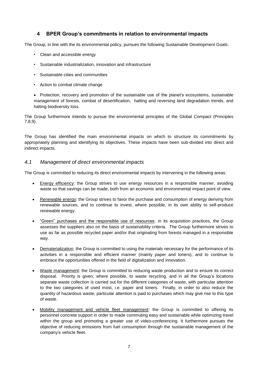## **4 BPER Group's commitments in relation to environmental impacts**

<span id="page-6-0"></span>The Group, in line with the its environmental policy, pursues the following Sustainable Development Goals:

- Clean and accessible energy
- Sustainable industrialization, innovation and infrastructure
- Sustainable cities and communities
- Action to combat climate change

• Protection, recovery and promotion of the sustainable use of the planet's ecosystems, sustainable management of forests, combat of desertification, halting and reversing land degradation trends, and halting biodiversity loss.

The Group furthermore intends to pursue the environmental principles of the Global Compact (Principles 7,8,9).

The Group has identified the main environmental impacts on which to structure its commitments by appropriately planning and identifying its objectives. These impacts have been sub-divided into direct and indirect impacts.

## <span id="page-6-1"></span>*4.1 Management of direct environmental impacts*

The Group is committed to reducing its direct environmental impacts by intervening in the following areas:

- Energy efficiency: the Group strives to use energy resources in a responsible manner, avoiding waste so that savings can be made, both from an economic and environmental impact point of view.
- Renewable energy: the Group strives to favor the purchase and consumption of energy deriving from renewable sources, and to continue to invest, where possible, in its own ability to self-produce renewable energy.
- "Green" purchases and the responsible use of resources: in its acquisition practices, the Group assesses the suppliers also on the basis of sustainability criteria. The Group furthermore strives to use as far as possible recycled paper and/or that originating from forests managed in a responsible way.
- Dematerialization: the Group is committed to using the materials necessary for the performance of its activities in a responsible and efficient manner (mainly paper and toners), and to continue to embrace the opportunities offered in the field of digitalization and innovation.
- Waste management: the Group is committed to reducing waste production and to ensure its correct disposal. Priority is given, where possible, to waste recycling, and in all the Group's locations separate waste collection is carried out for the different categories of waste, with particular attention to the two categories of used most, i.e. paper and toners. Finally, in order to also reduce the quantity of hazardous waste, particular attention is paid to purchases which may give rise to this type of waste.
- Mobility management and vehicle fleet management: the Group is committed to offering its personnel concrete support in order to made commuting easy and sustainable while optimizing travel within the group and promoting a greater use of video-conferencing. It furthermore pursues the objective of reducing emissions from fuel consumption through the sustainable management of the company's vehicle fleet.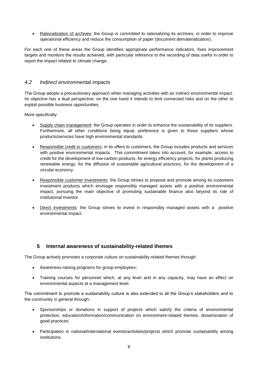• Rationalization of archives: the Group is committed to rationalizing its archives, in order to improve operational efficiency and reduce the consumption of paper (document dematerialization).

For each one of these areas the Group identifies appropriate performance indicators, fixes improvement targets and monitors the results achieved, with particular reference to the recording of data useful in order to report the impact related to climate change.

## *4.2 Indirect environmental impacts*

The Group adopts a precautionary approach when managing activities with an indirect environmental impact. Its objective has a dual perspective: on the one hand it intends to limit connected risks and on the other to exploit possible business opportunities.

More specifically:

- Supply chain management: the Group operates in order to enhance the sustainability of its suppliers. Furthermore, all other conditions being equal, preference is given to those suppliers whose products/services have high environmental standards.
- Responsible credit to customers: in its offers to customers, the Group includes products and services with positive environmental impacts. This commitment takes into account, for example, access to credit for the development of low-carbon products, for energy efficiency projects, for plants producing renewable energy, for the diffusion of sustainable agricultural practices, for the development of a circular economy.
- Responsible customer investments: the Group strives to propose and promote among its customers investment products which envisage responsibly managed assets with a positive environmental impact, pursuing the main objective of promoting sustainable finance also beyond its role of institutional investor.
- Direct investments: the Group strives to invest in responsibly managed assets with a positive environmental impact.

## <span id="page-7-0"></span>**5 Internal awareness of sustainability-related themes**

The Group actively promotes a corporate culture on sustainability-related themes through:

- Awareness-raising programs for group employees;
- Training courses for personnel which, at any level and in any capacity, may have an effect on environmental aspects at a management level.

The commitment to promote a sustainability culture is also extended to all the Group's stakeholders and to the community in general through:

- Sponsorships or donations in support of projects which satisfy the criteria of environmental protection, education/information/communication on environment-related themes, dissemination of good practices;
- Participation in national/international events/activities/projects which promote sustainability among institutions.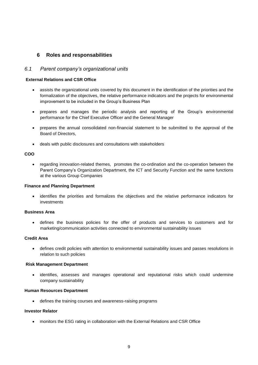## <span id="page-8-0"></span>**6 Roles and responsabilities**

## <span id="page-8-1"></span>*6.1 Parent company's organizational units*

#### **External Relations and CSR Office**

- assists the organizational units covered by this document in the identification of the priorities and the formalization of the objectives, the relative performance indicators and the projects for environmental improvement to be included in the Group's Business Plan
- prepares and manages the periodic analysis and reporting of the Group's environmental performance for the Chief Executive Officer and the General Manager
- prepares the annual consolidated non-financial statement to be submitted to the approval of the Board of Directors,
- deals with public disclosures and consultations with stakeholders

#### **COO**

 regarding innovation-related themes, promotes the co-ordination and the co-operation between the Parent Company's Organization Department, the ICT and Security Function and the same functions at the various Group Companies

#### **Finance and Planning Department**

 identifies the priorities and formalizes the objectives and the relative performance indicators for investments

#### **Business Area**

 defines the business policies for the offer of products and services to customers and for marketing/communication activities connected to environmental sustainability issues

#### **Credit Area**

 defines credit policies with attention to environmental sustainability issues and passes resolutions in relation to such policies

#### **Risk Management Department**

 identifies, assesses and manages operational and reputational risks which could undermine company sustainability

#### **Human Resources Department**

defines the training courses and awareness-raising programs

#### **Investor Relator**

monitors the ESG rating in collaboration with the External Relations and CSR Office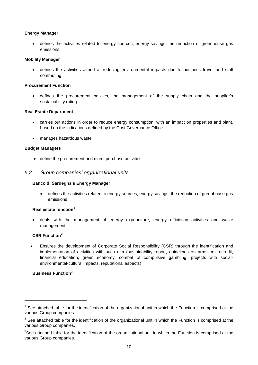#### **Energy Manager**

 defines the activities related to energy sources, energy savings, the reduction of greenhouse gas emissions

#### **Mobility Manager**

 defines the activities aimed at reducing environmental impacts due to business travel and staff commuting

#### **Procurement Function**

 defines the procurement policies, the management of the supply chain and the supplier's sustainability rating

#### **Real Estate Department**

- carries out actions in order to reduce energy consumption, with an impact on properties and plant, based on the indications defined by the Cost Governance Office
- manages hazardous waste

#### **Budget Managers**

define the procurement and direct purchase activities

#### <span id="page-9-0"></span>*6.2 Group companies' organizational units*

#### **Banco di Sardegna's Energy Manager**

 defines the activities related to energy sources, energy savings, the reduction of greenhouse gas emissions

#### **Real estate function<sup>1</sup>**

 deals with the management of energy expenditure, energy efficiency activities and waste management

## **CSR Function<sup>2</sup>**

 Ensures the development of Corporate Social Responsibility (CSR) through the identification and implementation of activities with such aim (sustainability report, guidelines on arms, microcredit, financial education, green economy, combat of compulsive gambling, projects with socialenvironmental-cultural impacts, reputational aspects)

## **Business Function<sup>3</sup>**

**.** 

 $1$  See attached table for the identification of the organizational unit in which the Function is comprised at the various Group companies.

 $2$  See attached table for the identification of the organizational unit in which the Function is comprised at the various Group companies.

 $3$ See attached table for the identification of the organizational unit in which the Function is comprised at the various Group companies.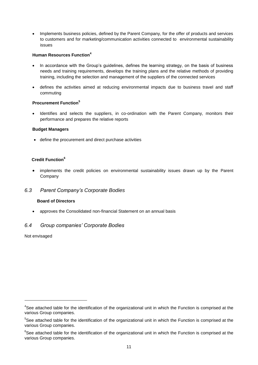Implements business policies, defined by the Parent Company, for the offer of products and services to customers and for marketing/communication activities connected to environmental sustainability issues

#### **Human Resources Function<sup>4</sup>**

- In accordance with the Group's guidelines, defines the learning strategy, on the basis of business needs and training requirements, develops the training plans and the relative methods of providing training, including the selection and management of the suppliers of the connected services
- defines the activities aimed at reducing environmental impacts due to business travel and staff commuting

## **Procurement Function<sup>5</sup>**

 Identifies and selects the suppliers, in co-ordination with the Parent Company, monitors their performance and prepares the relative reports

#### **Budget Managers**

define the procurement and direct purchase activities

## **Credit Function<sup>6</sup>**

 implements the credit policies on environmental sustainability issues drawn up by the Parent Company

## <span id="page-10-0"></span>*6.3 Parent Company's Corporate Bodies*

#### **Board of Directors**

approves the Consolidated non-financial Statement on an annual basis

## *6.4 Group companies' Corporate Bodies*

Not envisaged

**.** 

<sup>&</sup>lt;sup>4</sup>See attached table for the identification of the organizational unit in which the Function is comprised at the various Group companies.

<sup>&</sup>lt;sup>5</sup>See attached table for the identification of the organizational unit in which the Function is comprised at the various Group companies.

<sup>&</sup>lt;sup>6</sup>See attached table for the identification of the organizational unit in which the Function is comprised at the various Group companies.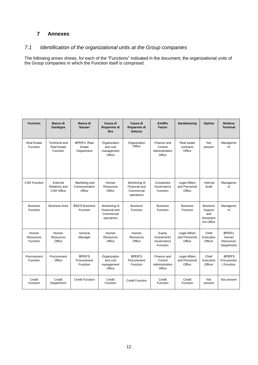## <span id="page-11-0"></span>**7 Annexes**

## <span id="page-11-1"></span>*7.1 Identification of the organizational units at the Group companies*

The following annex shows, for each of the "Functions" indicated in the document, the organizational units of the Group companies in which the Function itself is comprised.

| <b>Function</b>                       | Banco di<br>Sardegna                                          | Banca di<br><b>Sassari</b>                 | Cassa di<br>Risparmio di<br><b>Bra</b>                     | Cassa di<br>Risparmio di<br>Saluzzo                        | EmilRo<br>Factor                                   | Sardaleasing                                    | Optima                                                      | Modena<br><b>Terminal</b>                                |
|---------------------------------------|---------------------------------------------------------------|--------------------------------------------|------------------------------------------------------------|------------------------------------------------------------|----------------------------------------------------|-------------------------------------------------|-------------------------------------------------------------|----------------------------------------------------------|
| <b>Real Estate</b><br>Function        | <b>Technical and</b><br><b>Real Estate</b><br><b>Function</b> | <b>BPER's Real</b><br>Estate<br>Department | Organization<br>and cost<br>management<br>Office           | Organization<br>Office                                     | Finance and<br>Control<br>Administration<br>Office | Real estate<br>contracts<br>Office              | Not<br>present                                              | Manageme<br>nt                                           |
| <b>CSR Function</b>                   | External<br>Relations and<br><b>CSR Office</b>                | Marketing and<br>Communication<br>Office   | Human<br><b>Resources</b><br>Office                        | Monitoring of<br>Financial and<br>Commercial<br>operations | Companies<br>Governance<br>Function                | <b>Legal Affairs</b><br>and Personnel<br>Office | Internal<br>Audit                                           | Manageme<br>nt                                           |
| <b>Business</b><br>Function           | <b>Business Area</b>                                          | <b>BSS'S Business</b><br>Function          | Monitoring of<br>Financial and<br>Commercial<br>operations | <b>Business</b><br>Function                                | <b>Business</b><br>Function                        | <b>Business</b><br>Function                     | <b>Business</b><br>Support<br>and<br>Developm<br>ent Office | Manageme<br>nt                                           |
| Human<br><b>Resources</b><br>Function | Human<br><b>Resources</b><br>Office                           | General<br>Manager                         | Human<br><b>Resources</b><br>Office                        | Human<br>Resources<br>Office                               | Equity<br>Investments<br>Governance<br>Function    | <b>Legal Affairs</b><br>and Personnel<br>Office | Chief<br>Executive<br>Officer                               | <b>BPER's</b><br>Human<br><b>Resources</b><br>Department |
| Procurement<br>Function               | Procurement<br>Office                                         | BPER'S<br>Procurement<br>Function          | Organization<br>and cost<br>management<br>Office           | <b>BPER'S</b><br>Procurement<br>Function                   | Finance and<br>Control<br>Administration<br>Office | <b>Legal Affairs</b><br>and Personnel<br>Office | Chief<br>Executive<br>Officer                               | <b>BPER'S</b><br>Procuremen<br>t Function                |
| Credit<br>Function                    | Credit<br>Department                                          | <b>Credit Function</b>                     | Credit<br>Function                                         | <b>Credit Function</b>                                     | Credit<br>Function                                 | Credit<br>Function                              | Not<br>present                                              | Not present                                              |